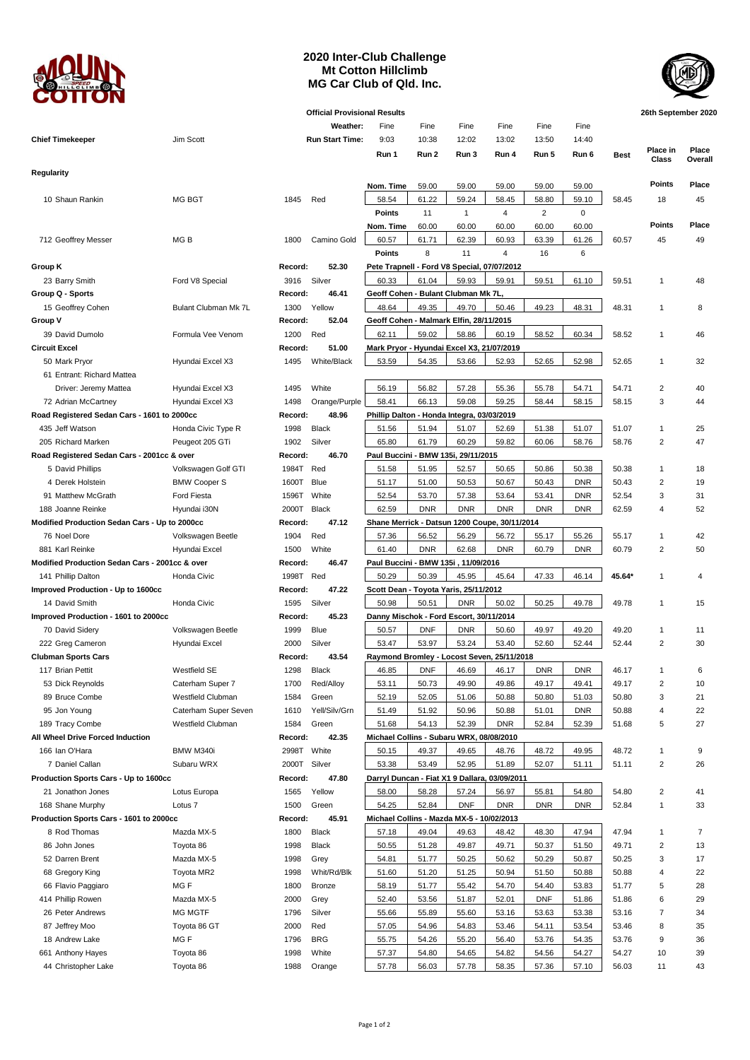

## **2020 Inter-Club Challenge Mt Cotton Hillclimb MG Car Club of Qld. Inc.**



| <b>Official Provisional Results</b>            |                      |             |                        |                                               |            |              |                |            |            | 26th September 2020 |                   |                  |
|------------------------------------------------|----------------------|-------------|------------------------|-----------------------------------------------|------------|--------------|----------------|------------|------------|---------------------|-------------------|------------------|
|                                                |                      |             | Weather:               | Fine                                          | Fine       | Fine         | Fine           | Fine       | Fine       |                     |                   |                  |
| <b>Chief Timekeeper</b>                        | Jim Scott            |             | <b>Run Start Time:</b> | 9:03                                          | 10:38      | 12:02        | 13:02          | 13:50      | 14:40      |                     |                   |                  |
|                                                |                      |             |                        | Run 1                                         | Run 2      | Run 3        | Run 4          | Run 5      | Run 6      | <b>Best</b>         | Place in<br>Class | Place<br>Overall |
| Regularity                                     |                      |             |                        |                                               |            |              |                |            |            |                     |                   |                  |
|                                                |                      |             |                        | Nom. Time                                     | 59.00      | 59.00        | 59.00          | 59.00      | 59.00      |                     | Points            | Place            |
| 10 Shaun Rankin                                | <b>MG BGT</b>        | 1845        | Red                    | 58.54                                         | 61.22      | 59.24        | 58.45          | 58.80      | 59.10      | 58.45               | 18                | 45               |
|                                                |                      |             |                        | Points                                        | 11         | $\mathbf{1}$ | 4              | 2          | $\pmb{0}$  |                     |                   |                  |
|                                                |                      |             |                        | Nom. Time                                     | 60.00      | 60.00        | 60.00          | 60.00      | 60.00      |                     | <b>Points</b>     | Place            |
| 712 Geoffrey Messer                            | MG B                 | 1800        | Camino Gold            | 60.57                                         | 61.71      | 62.39        | 60.93          | 63.39      | 61.26      | 60.57               | 45                | 49               |
|                                                |                      |             |                        | <b>Points</b>                                 | 8          | 11           | $\overline{4}$ | 16         | 6          |                     |                   |                  |
| Group K                                        |                      | Record:     | 52.30                  | Pete Trapnell - Ford V8 Special, 07/07/2012   |            |              |                |            |            |                     |                   |                  |
| 23 Barry Smith                                 | Ford V8 Special      | 3916        | Silver                 | 60.33                                         | 61.04      | 59.93        | 59.91          | 59.51      | 61.10      | 59.51               | $\overline{1}$    | 48               |
| Group Q - Sports                               |                      | Record:     | 46.41                  | Geoff Cohen - Bulant Clubman Mk 7L,           |            |              |                |            |            |                     |                   |                  |
| 15 Geoffrey Cohen                              | Bulant Clubman Mk 7L | 1300        | Yellow                 | 48.64                                         | 49.35      | 49.70        | 50.46          | 49.23      | 48.31      | 48.31               | $\overline{1}$    | 8                |
| Group V                                        |                      | Record:     | 52.04                  | Geoff Cohen - Malmark Elfin, 28/11/2015       |            |              |                |            |            |                     |                   |                  |
| 39 David Dumolo                                | Formula Vee Venom    | 1200        | Red                    | 62.11                                         | 59.02      | 58.86        | 60.19          | 58.52      | 60.34      | 58.52               | $\overline{1}$    | 46               |
| <b>Circuit Excel</b>                           |                      | Record:     | 51.00                  | Mark Pryor - Hyundai Excel X3, 21/07/2019     |            |              |                |            |            |                     |                   |                  |
| 50 Mark Pryor                                  | Hyundai Excel X3     | 1495        | White/Black            | 53.59                                         | 54.35      | 53.66        | 52.93          | 52.65      | 52.98      | 52.65               | $\mathbf{1}$      | 32               |
| 61 Entrant: Richard Mattea                     |                      |             |                        |                                               |            |              |                |            |            |                     |                   |                  |
| Driver: Jeremy Mattea                          | Hyundai Excel X3     | 1495        | White                  | 56.19                                         | 56.82      | 57.28        | 55.36          | 55.78      | 54.71      | 54.71               | $\overline{2}$    | 40               |
| 72 Adrian McCartney                            | Hyundai Excel X3     | 1498        | Orange/Purple          | 58.41                                         | 66.13      | 59.08        | 59.25          | 58.44      | 58.15      | 58.15               | 3                 | 44               |
| Road Registered Sedan Cars - 1601 to 2000cc    |                      | Record:     | 48.96                  | Phillip Dalton - Honda Integra, 03/03/2019    |            |              |                |            |            |                     |                   |                  |
| 435 Jeff Watson                                | Honda Civic Type R   | 1998        | <b>Black</b>           | 51.56                                         | 51.94      | 51.07        | 52.69          | 51.38      | 51.07      | 51.07               | $\mathbf{1}$      | 25               |
| 205 Richard Marken                             | Peugeot 205 GTi      | 1902        | Silver                 | 65.80                                         | 61.79      | 60.29        | 59.82          | 60.06      | 58.76      | 58.76               | $\overline{2}$    | 47               |
| Road Registered Sedan Cars - 2001cc & over     |                      | Record:     | 46.70                  | Paul Buccini - BMW 135i, 29/11/2015           |            |              |                |            |            |                     |                   |                  |
| 5 David Phillips                               | Volkswagen Golf GTI  | 1984T Red   |                        | 51.58                                         | 51.95      | 52.57        | 50.65          | 50.86      | 50.38      | 50.38               | $\mathbf{1}$      | 18               |
| 4 Derek Holstein                               | <b>BMW Cooper S</b>  | 1600T       | <b>Blue</b>            | 51.17                                         | 51.00      | 50.53        | 50.67          | 50.43      | <b>DNR</b> | 50.43               | $\overline{2}$    | 19               |
| 91 Matthew McGrath                             | Ford Fiesta          | 1596T       | White                  | 52.54                                         | 53.70      | 57.38        | 53.64          | 53.41      | <b>DNR</b> | 52.54               | 3                 | 31               |
| 188 Joanne Reinke                              | Hyundai i30N         | 2000T       | Black                  | 62.59                                         | <b>DNR</b> | <b>DNR</b>   | <b>DNR</b>     | <b>DNR</b> | <b>DNR</b> | 62.59               | $\overline{4}$    | 52               |
| Modified Production Sedan Cars - Up to 2000cc  |                      | Record:     | 47.12                  | Shane Merrick - Datsun 1200 Coupe, 30/11/2014 |            |              |                |            |            |                     |                   |                  |
| 76 Noel Dore                                   | Volkswagen Beetle    | 1904        | Red                    | 57.36                                         | 56.52      | 56.29        | 56.72          | 55.17      | 55.26      | 55.17               | $\mathbf{1}$      | 42               |
| 881 Karl Reinke                                | Hyundai Excel        | 1500        | White                  | 61.40                                         | <b>DNR</b> | 62.68        | <b>DNR</b>     | 60.79      | <b>DNR</b> | 60.79               | $\overline{2}$    | 50               |
| Modified Production Sedan Cars - 2001cc & over |                      | Record:     | 46.47                  | Paul Buccini - BMW 135i, 11/09/2016           |            |              |                |            |            |                     |                   |                  |
| 141 Phillip Dalton<br>Honda Civic              |                      | 1998T Red   |                        | 50.29                                         | 50.39      | 45.95        | 45.64          | 47.33      | 46.14      | 45.64*              | $\overline{1}$    | 4                |
| Improved Production - Up to 1600cc             |                      | Record:     | 47.22                  | Scott Dean - Toyota Yaris, 25/11/2012         |            |              |                |            |            |                     |                   |                  |
| 14 David Smith                                 | Honda Civic          | 1595        | Silver                 | 50.98                                         | 50.51      | <b>DNR</b>   | 50.02          | 50.25      | 49.78      | 49.78               | $\overline{1}$    | 15               |
| Improved Production - 1601 to 2000cc           |                      | Record:     | 45.23                  | Danny Mischok - Ford Escort, 30/11/2014       |            |              |                |            |            |                     |                   |                  |
| 70 David Sidery                                | Volkswagen Beetle    | 1999        | <b>Blue</b>            | 50.57                                         | <b>DNF</b> | <b>DNR</b>   | 50.60          | 49.97      | 49.20      | 49.20               | $\mathbf{1}$      | 11               |
| 222 Greg Cameron                               | Hyundai Excel        | 2000        | Silver                 | 53.47                                         | 53.97      | 53.24        | 53.40          | 52.60      | 52.44      | 52.44               | 2                 | 30               |
| <b>Clubman Sports Cars</b>                     |                      | Record:     | 43.54                  | Raymond Bromley - Locost Seven, 25/11/2018    |            |              |                |            |            |                     |                   |                  |
| 117 Brian Pettit                               | Westfield SE         | 1298 Black  |                        | 46.85                                         | DNF        | 46.69        | 46.17          | <b>DNR</b> | DNR        | 46.17               |                   |                  |
| 53 Dick Reynolds                               | Caterham Super 7     | 1700        | Red/Alloy              | 53.11                                         | 50.73      | 49.90        | 49.86          | 49.17      | 49.41      | 49.17               | $\overline{2}$    | 10               |
| 89 Bruce Combe                                 | Westfield Clubman    | 1584        | Green                  | 52.19                                         | 52.05      | 51.06        | 50.88          | 50.80      | 51.03      | 50.80               | 3                 | 21               |
| 95 Jon Young                                   | Caterham Super Seven | 1610        | Yell/Silv/Grn          | 51.49                                         | 51.92      | 50.96        | 50.88          | 51.01      | <b>DNR</b> | 50.88               | $\overline{4}$    | 22               |
| 189 Tracy Combe                                | Westfield Clubman    | 1584        | Green                  | 51.68                                         | 54.13      | 52.39        | <b>DNR</b>     | 52.84      | 52.39      | 51.68               | 5                 | 27               |
| All Wheel Drive Forced Induction               |                      | Record:     | 42.35                  | Michael Collins - Subaru WRX, 08/08/2010      |            |              |                |            |            |                     |                   |                  |
| 166 Ian O'Hara                                 | BMW M340i            | 2998T White |                        | 50.15                                         | 49.37      | 49.65        | 48.76          | 48.72      | 49.95      | 48.72               | 1                 | 9                |
| 7 Daniel Callan                                | Subaru WRX           | 2000T       | Silver                 | 53.38                                         | 53.49      | 52.95        | 51.89          | 52.07      | 51.11      | 51.11               | $\overline{c}$    | 26               |
| Production Sports Cars - Up to 1600cc          |                      | Record:     | 47.80                  | Darryl Duncan - Fiat X1 9 Dallara, 03/09/2011 |            |              |                |            |            |                     |                   |                  |
| 21 Jonathon Jones                              | Lotus Europa         | 1565        | Yellow                 | 58.00                                         | 58.28      | 57.24        | 56.97          | 55.81      | 54.80      | 54.80               | $\overline{2}$    | 41               |
| 168 Shane Murphy                               | Lotus <sub>7</sub>   | 1500        | Green                  | 54.25                                         | 52.84      | <b>DNF</b>   | <b>DNR</b>     | <b>DNR</b> | <b>DNR</b> | 52.84               | $\mathbf{1}$      | 33               |
| Production Sports Cars - 1601 to 2000cc        |                      | Record:     | 45.91                  | Michael Collins - Mazda MX-5 - 10/02/2013     |            |              |                |            |            |                     |                   |                  |
| 8 Rod Thomas                                   | Mazda MX-5           | 1800        | <b>Black</b>           | 57.18                                         | 49.04      | 49.63        | 48.42          | 48.30      | 47.94      | 47.94               | $\overline{1}$    | 7                |
| 86 John Jones                                  | Toyota 86            | 1998        | Black                  | 50.55                                         | 51.28      | 49.87        | 49.71          | 50.37      | 51.50      | 49.71               | $\overline{c}$    | 13               |
| 52 Darren Brent                                | Mazda MX-5           | 1998        | Grey                   | 54.81                                         | 51.77      | 50.25        | 50.62          | 50.29      | 50.87      | 50.25               | 3                 | 17               |
| 68 Gregory King                                | Toyota MR2           | 1998        | Whit/Rd/Blk            | 51.60                                         | 51.20      | 51.25        | 50.94          | 51.50      | 50.88      | 50.88               | $\overline{4}$    | 22               |
| 66 Flavio Paggiaro                             | MG F                 | 1800        | Bronze                 | 58.19                                         | 51.77      | 55.42        | 54.70          | 54.40      | 53.83      | 51.77               | 5                 | 28               |
| 414 Phillip Rowen                              | Mazda MX-5           | 2000        | Grey                   | 52.40                                         | 53.56      | 51.87        | 52.01          | <b>DNF</b> | 51.86      | 51.86               | 6                 | 29               |
| 26 Peter Andrews                               | <b>MG MGTF</b>       | 1796        | Silver                 | 55.66                                         | 55.89      | 55.60        | 53.16          | 53.63      | 53.38      | 53.16               | $\overline{7}$    | 34               |
| 87 Jeffrey Moo                                 | Toyota 86 GT         | 2000        | Red                    | 57.05                                         | 54.96      | 54.83        | 53.46          | 54.11      | 53.54      | 53.46               | 8                 | 35               |
| 18 Andrew Lake                                 | MG F                 | 1796        | <b>BRG</b>             | 55.75                                         | 54.26      | 55.20        | 56.40          | 53.76      | 54.35      | 53.76               | 9                 | 36               |
| 661 Anthony Hayes                              | Toyota 86            | 1998        | White                  | 57.37                                         | 54.80      | 54.65        | 54.82          | 54.56      | 54.27      | 54.27               | 10                | 39               |
| 44 Christopher Lake                            | Toyota 86            | 1988        | Orange                 | 57.78                                         | 56.03      | 57.78        | 58.35          | 57.36      | 57.10      | 56.03               | 11                | 43               |
|                                                |                      |             |                        |                                               |            |              |                |            |            |                     |                   |                  |